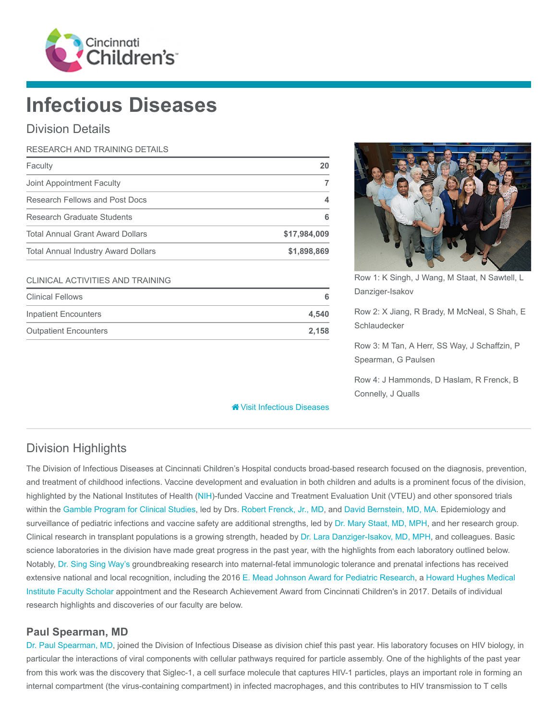

# Infectious Diseases

### Division Details

| RESEARCH AND TRAINING DETAILS              |              |
|--------------------------------------------|--------------|
| Faculty                                    | 20           |
| Joint Appointment Faculty                  |              |
| Research Fellows and Post Docs             | 4            |
| Research Graduate Students                 | 6            |
| <b>Total Annual Grant Award Dollars</b>    | \$17,984,009 |
| <b>Total Annual Industry Award Dollars</b> | \$1,898,869  |

#### CLINICAL ACTIVITIES AND TRAINING

| <b>Clinical Fellows</b>      | 6     |
|------------------------------|-------|
| Inpatient Encounters         | 4.540 |
| <b>Outpatient Encounters</b> | 2.158 |



Row 1: K Singh, J Wang, M Staat, N Sawtell, L Danziger-Isakov

Row 2: X Jiang, R Brady, M McNeal, S Shah, E Schlaudecker

Row 3: M Tan, A Herr, SS Way, J Schaffzin, P Spearman, G Paulsen

Row 4: J Hammonds, D Haslam, R Frenck, B Connelly, J Qualls

**<sup><sup>8</sup>** [Visit Infectious Diseases](https://www.cincinnatichildrens.org/research/divisions/i/infectious)</sup>

## Division Highlights

The Division of Infectious Diseases at Cincinnati Children's Hospital conducts broad-based research focused on the diagnosis, prevention, and treatment of childhood infections. Vaccine development and evaluation in both children and adults is a prominent focus of the division, highlighted by the National Institutes of Health [\(NIH](https://www.nih.gov/))-funded Vaccine and Treatment Evaluation Unit (VTEU) and other sponsored trials within the [Gamble Program for Clinical Studies](https://www.cincinnatichildrens.org/service/g/gamble), led by Drs. [Robert Frenck, Jr., MD](https://www.cincinnatichildrens.org/bio/f/robert-frenck), and [David Bernstein, MD, MA.](https://www.cincinnatichildrens.org/bio/b/david-bernstein) Epidemiology and surveillance of pediatric infections and vaccine safety are additional strengths, led by [Dr. Mary Staat, MD, MPH,](https://www.cincinnatichildrens.org/bio/s/mary-staat) and her research group. Clinical research in transplant populations is a growing strength, headed by [Dr. Lara Danziger-Isakov, MD, MPH,](https://www.cincinnatichildrens.org/bio/d/lara-danziger-isakov) and colleagues. Basic science laboratories in the division have made great progress in the past year, with the highlights from each laboratory outlined below. Notably, [Dr. Sing Sing Way's](https://www.cincinnatichildrens.org/bio/w/singsing-way) groundbreaking research into maternal-fetal immunologic tolerance and prenatal infections has received [extensive national and local recognition, including the 2016 E](http://www.hhmi.org/programs/biomedical-research/faculty-scholars)[. Mead Johnson Award for Pediatric Researc](https://www.aps-spr.org/spr/awards/EMJ/default.asp)[h, a Howard Hughes Medical](http://www.hhmi.org/programs/biomedical-research/faculty-scholars) Institute Faculty Scholar appointment and the Research Achievement Award from Cincinnati Children's in 2017. Details of individual research highlights and discoveries of our faculty are below.

#### Paul Spearman, MD

[Dr. Paul Spearman, MD](https://www.cincinnatichildrens.org/bio/s/paul-spearman), joined the Division of Infectious Disease as division chief this past year. His laboratory focuses on HIV biology, in particular the interactions of viral components with cellular pathways required for particle assembly. One of the highlights of the past year from this work was the discovery that Siglec-1, a cell surface molecule that captures HIV-1 particles, plays an important role in forming an internal compartment (the virus-containing compartment) in infected macrophages, and this contributes to HIV transmission to T cells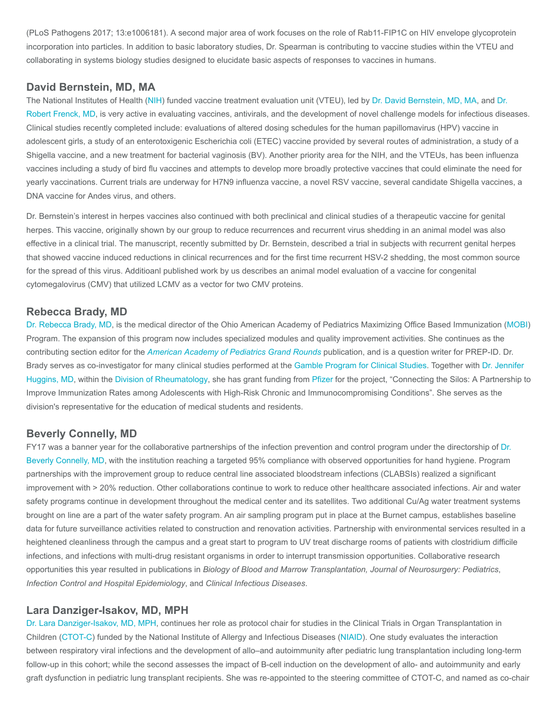(PLoS Pathogens 2017; 13:e1006181). A second major area of work focuses on the role of Rab11-FIP1C on HIV envelope glycoprotein incorporation into particles. In addition to basic laboratory studies, Dr. Spearman is contributing to vaccine studies within the VTEU and collaborating in systems biology studies designed to elucidate basic aspects of responses to vaccines in humans.

#### David Bernstein, MD, MA

[The National Institutes of Health \(](https://www.cincinnatichildrens.org/bio/f/robert-frenck)[NI](https://www.nih.gov/)[H\) funded vaccine treatment evaluation unit \(VTEU\), led by](https://www.cincinnatichildrens.org/bio/f/robert-frenck) [Dr. David Bernstein, MD, M](https://www.cincinnatichildrens.org/bio/b/david-bernstein)[A, and Dr.](https://www.cincinnatichildrens.org/bio/f/robert-frenck) Robert Frenck, MD, is very active in evaluating vaccines, antivirals, and the development of novel challenge models for infectious diseases. Clinical studies recently completed include: evaluations of altered dosing schedules for the human papillomavirus (HPV) vaccine in adolescent girls, a study of an enterotoxigenic Escherichia coli (ETEC) vaccine provided by several routes of administration, a study of a Shigella vaccine, and a new treatment for bacterial vaginosis (BV). Another priority area for the NIH, and the VTEUs, has been influenza vaccines including a study of bird flu vaccines and attempts to develop more broadly protective vaccines that could eliminate the need for yearly vaccinations. Current trials are underway for H7N9 influenza vaccine, a novel RSV vaccine, several candidate Shigella vaccines, a DNA vaccine for Andes virus, and others.

Dr. Bernstein's interest in herpes vaccines also continued with both preclinical and clinical studies of a therapeutic vaccine for genital herpes. This vaccine, originally shown by our group to reduce recurrences and recurrent virus shedding in an animal model was also effective in a clinical trial. The manuscript, recently submitted by Dr. Bernstein, described a trial in subjects with recurrent genital herpes that showed vaccine induced reductions in clinical recurrences and for the first time recurrent HSV-2 shedding, the most common source for the spread of this virus. Additioanl published work by us describes an animal model evaluation of a vaccine for congenital cytomegalovirus (CMV) that utilized LCMV as a vector for two CMV proteins.

#### Rebecca Brady, MD

[Dr. Rebecca Brady, MD,](https://www.cincinnatichildrens.org/bio/b/rebecca-brady) is the medical director of the Ohio American Academy of Pediatrics Maximizing Office Based Immunization [\(MOBI](http://ohioaap.org/projects/mobi/)) Program. The expansion of this program now includes specialized modules and quality improvement activities. She continues as the contributing section editor for the [American Academy of Pediatrics Grand Rounds](http://aapgrandrounds.aappublications.org/content/36/6?current-issue=y) publication, and is a question writer for PREP-ID. Dr. [Brady serves as co-investigator for many clinical studies performed at the G](https://www.cincinnatichildrens.org/bio/h/jennifer-huggins)[amble Program for Clinical Studie](https://www.cincinnatichildrens.org/service/g/gamble)[s. Together with Dr. Jennifer](https://www.cincinnatichildrens.org/bio/h/jennifer-huggins) Huggins, MD, within the [Division of Rheumatology](https://www.cincinnatichildrens.org/research/divisions/r/rheumatology), she has grant funding from [Pfizer](http://www.pfizer.com/) for the project, "Connecting the Silos: A Partnership to Improve Immunization Rates among Adolescents with High-Risk Chronic and Immunocompromising Conditions". She serves as the division's representative for the education of medical students and residents.

#### Beverly Connelly, MD

[FY17 was a banner year for the collaborative partnerships of the infection prevention and control program under the directorship of Dr.](https://www.cincinnatichildrens.org/bio/c/beverly-connelly) Beverly Connelly, MD, with the institution reaching a targeted 95% compliance with observed opportunities for hand hygiene. Program partnerships with the improvement group to reduce central line associated bloodstream infections (CLABSIs) realized a significant improvement with > 20% reduction. Other collaborations continue to work to reduce other healthcare associated infections. Air and water safety programs continue in development throughout the medical center and its satellites. Two additional Cu/Ag water treatment systems brought on line are a part of the water safety program. An air sampling program put in place at the Burnet campus, establishes baseline data for future surveillance activities related to construction and renovation activities. Partnership with environmental services resulted in a heightened cleanliness through the campus and a great start to program to UV treat discharge rooms of patients with clostridium difficile infections, and infections with multi-drug resistant organisms in order to interrupt transmission opportunities. Collaborative research opportunities this year resulted in publications in Biology of Blood and Marrow Transplantation, Journal of Neurosurgery: Pediatrics, Infection Control and Hospital Epidemiology, and Clinical Infectious Diseases.

#### Lara Danziger-Isakov, MD, MPH

[Dr. Lara Danziger-Isakov, MD, MPH,](https://www.cincinnatichildrens.org/bio/d/lara-danziger-isakov) continues her role as protocol chair for studies in the Clinical Trials in Organ Transplantation in Children (CTOT-C) funded by the National Institute of Allergy and Infectious Diseases ([NIAID\)](https://www.niaid.nih.gov/). One study evaluates the interaction between respiratory viral infections and the development of allo–and autoimmunity after pediatric lung transplantation including long-term follow-up in this cohort; while the second assesses the impact of B-cell induction on the development of allo- and autoimmunity and early graft dysfunction in pediatric lung transplant recipients. She was re-appointed to the steering committee of CTOT-C, and named as co-chair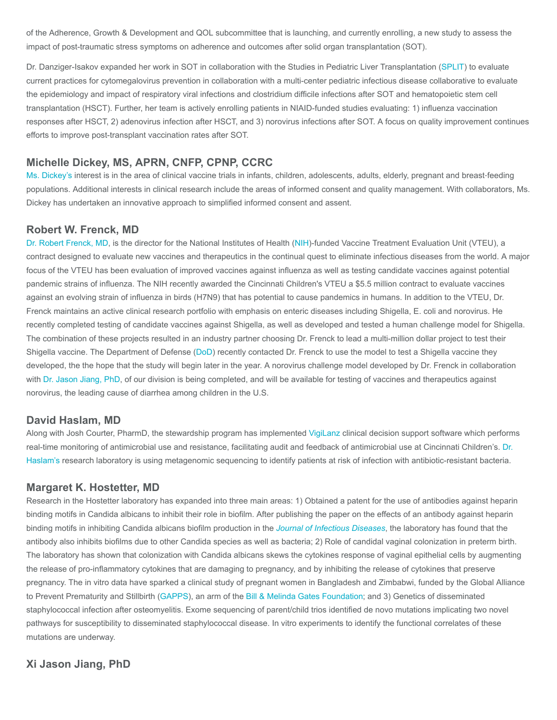of the Adherence, Growth & Development and QOL subcommittee that is launching, and currently enrolling, a new study to assess the impact of post-traumatic stress symptoms on adherence and outcomes after solid organ transplantation (SOT).

Dr. Danziger-Isakov expanded her work in SOT in collaboration with the Studies in Pediatric Liver Transplantation ([SPLIT](https://pediatriclivertransplant.org/)) to evaluate current practices for cytomegalovirus prevention in collaboration with a multi-center pediatric infectious disease collaborative to evaluate the epidemiology and impact of respiratory viral infections and clostridium difficile infections after SOT and hematopoietic stem cell transplantation (HSCT). Further, her team is actively enrolling patients in NIAID-funded studies evaluating: 1) influenza vaccination responses after HSCT, 2) adenovirus infection after HSCT, and 3) norovirus infections after SOT. A focus on quality improvement continues efforts to improve post-transplant vaccination rates after SOT.

#### Michelle Dickey, MS, APRN, CNFP, CPNP, CCRC

[Ms. Dickey's](https://www.cincinnatichildrens.org/bio/d/michelle-dickey) interest is in the area of clinical vaccine trials in infants, children, adolescents, adults, elderly, pregnant and breast-feeding populations. Additional interests in clinical research include the areas of informed consent and quality management. With collaborators, Ms. Dickey has undertaken an innovative approach to simplified informed consent and assent.

#### Robert W. Frenck, MD

[Dr. Robert Frenck, MD](https://www.cincinnatichildrens.org/bio/f/robert-frenck), is the director for the National Institutes of Health ([NIH\)](https://www.nih.gov/)-funded Vaccine Treatment Evaluation Unit (VTEU), a contract designed to evaluate new vaccines and therapeutics in the continual quest to eliminate infectious diseases from the world. A major focus of the VTEU has been evaluation of improved vaccines against influenza as well as testing candidate vaccines against potential pandemic strains of influenza. The NIH recently awarded the Cincinnati Children's VTEU a \$5.5 million contract to evaluate vaccines against an evolving strain of influenza in birds (H7N9) that has potential to cause pandemics in humans. In addition to the VTEU, Dr. Frenck maintains an active clinical research portfolio with emphasis on enteric diseases including Shigella, E. coli and norovirus. He recently completed testing of candidate vaccines against Shigella, as well as developed and tested a human challenge model for Shigella. The combination of these projects resulted in an industry partner choosing Dr. Frenck to lead a multi-million dollar project to test their Shigella vaccine. The Department of Defense ([DoD\)](https://www.defense.gov/) recently contacted Dr. Frenck to use the model to test a Shigella vaccine they developed, the the hope that the study will begin later in the year. A norovirus challenge model developed by Dr. Frenck in collaboration with [Dr. Jason Jiang, PhD](https://www.cincinnatichildrens.org/bio/j/xi-jiang), of our division is being completed, and will be available for testing of vaccines and therapeutics against norovirus, the leading cause of diarrhea among children in the U.S.

#### David Haslam, MD

Along with Josh Courter, PharmD, the stewardship program has implemented [VigiLanz](https://vigilanzcorp.com/) clinical decision support software which performs [real-time monitoring of antimicrobial use and resistance, facilitating audit and feedback of antimicrobial use at Cincinnati Children's. Dr.](https://www.cincinnatichildrens.org/bio/h/david-haslam) Haslam's research laboratory is using metagenomic sequencing to identify patients at risk of infection with antibiotic-resistant bacteria.

#### Margaret K. Hostetter, MD

Research in the Hostetter laboratory has expanded into three main areas: 1) Obtained a patent for the use of antibodies against heparin binding motifs in Candida albicans to inhibit their role in biofilm. After publishing the paper on the effects of an antibody against heparin binding motifs in inhibiting Candida albicans biofilm production in the [Journal of Infectious Diseases](https://www.ncbi.nlm.nih.gov/pubmed/23904295), the laboratory has found that the antibody also inhibits biofilms due to other Candida species as well as bacteria; 2) Role of candidal vaginal colonization in preterm birth. The laboratory has shown that colonization with Candida albicans skews the cytokines response of vaginal epithelial cells by augmenting the release of pro-inflammatory cytokines that are damaging to pregnancy, and by inhibiting the release of cytokines that preserve pregnancy. The in vitro data have sparked a clinical study of pregnant women in Bangladesh and Zimbabwi, funded by the Global Alliance to Prevent Prematurity and Stillbirth ([GAPPS](http://gapps.org/)), an arm of the [Bill & Melinda Gates Foundation;](https://www.gatesfoundation.org/) and 3) Genetics of disseminated staphylococcal infection after osteomyelitis. Exome sequencing of parent/child trios identified de novo mutations implicating two novel pathways for susceptibility to disseminated staphylococcal disease. In vitro experiments to identify the functional correlates of these mutations are underway.

#### Xi Jason Jiang, PhD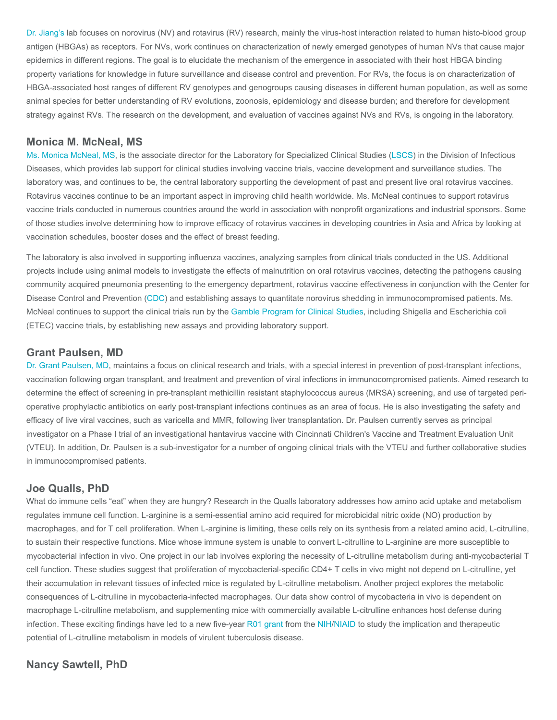[Dr. Jiang's](https://www.cincinnatichildrens.org/bio/j/xi-jiang) lab focuses on norovirus (NV) and rotavirus (RV) research, mainly the virus-host interaction related to human histo-blood group antigen (HBGAs) as receptors. For NVs, work continues on characterization of newly emerged genotypes of human NVs that cause major epidemics in different regions. The goal is to elucidate the mechanism of the emergence in associated with their host HBGA binding property variations for knowledge in future surveillance and disease control and prevention. For RVs, the focus is on characterization of HBGA-associated host ranges of different RV genotypes and genogroups causing diseases in different human population, as well as some animal species for better understanding of RV evolutions, zoonosis, epidemiology and disease burden; and therefore for development strategy against RVs. The research on the development, and evaluation of vaccines against NVs and RVs, is ongoing in the laboratory.

#### Monica M. McNeal, MS

[Ms. Monica McNeal, MS](https://www.cincinnatichildrens.org/bio/m/monica-malone), is the associate director for the Laboratory for Specialized Clinical Studies ([LSCS](https://www.cincinnatichildrens.org/research/divisions/i/infectious/lab-specialized-clinical)) in the Division of Infectious Diseases, which provides lab support for clinical studies involving vaccine trials, vaccine development and surveillance studies. The laboratory was, and continues to be, the central laboratory supporting the development of past and present live oral rotavirus vaccines. Rotavirus vaccines continue to be an important aspect in improving child health worldwide. Ms. McNeal continues to support rotavirus vaccine trials conducted in numerous countries around the world in association with nonprofit organizations and industrial sponsors. Some of those studies involve determining how to improve efficacy of rotavirus vaccines in developing countries in Asia and Africa by looking at vaccination schedules, booster doses and the effect of breast feeding.

The laboratory is also involved in supporting influenza vaccines, analyzing samples from clinical trials conducted in the US. Additional projects include using animal models to investigate the effects of malnutrition on oral rotavirus vaccines, detecting the pathogens causing community acquired pneumonia presenting to the emergency department, rotavirus vaccine effectiveness in conjunction with the Center for Disease Control and Prevention ([CDC](https://www.cdc.gov/)) and establishing assays to quantitate norovirus shedding in immunocompromised patients. Ms. McNeal continues to support the clinical trials run by the [Gamble Program for Clinical Studies,](https://www.cincinnatichildrens.org/service/g/gamble) including Shigella and Escherichia coli (ETEC) vaccine trials, by establishing new assays and providing laboratory support.

#### Grant Paulsen, MD

[Dr. Grant Paulsen, MD,](https://www.cincinnatichildrens.org/bio/p/grant-paulsen) maintains a focus on clinical research and trials, with a special interest in prevention of post-transplant infections, vaccination following organ transplant, and treatment and prevention of viral infections in immunocompromised patients. Aimed research to determine the effect of screening in pre-transplant methicillin resistant staphylococcus aureus (MRSA) screening, and use of targeted perioperative prophylactic antibiotics on early post-transplant infections continues as an area of focus. He is also investigating the safety and efficacy of live viral vaccines, such as varicella and MMR, following liver transplantation. Dr. Paulsen currently serves as principal investigator on a Phase I trial of an investigational hantavirus vaccine with Cincinnati Children's Vaccine and Treatment Evaluation Unit (VTEU). In addition, Dr. Paulsen is a sub-investigator for a number of ongoing clinical trials with the VTEU and further collaborative studies in immunocompromised patients.

#### Joe Qualls, PhD

What do immune cells "eat" when they are hungry? Research in the Qualls laboratory addresses how amino acid uptake and metabolism regulates immune cell function. L-arginine is a semi-essential amino acid required for microbicidal nitric oxide (NO) production by macrophages, and for T cell proliferation. When L-arginine is limiting, these cells rely on its synthesis from a related amino acid, L-citrulline, to sustain their respective functions. Mice whose immune system is unable to convert L-citrulline to L-arginine are more susceptible to mycobacterial infection in vivo. One project in our lab involves exploring the necessity of L-citrulline metabolism during anti-mycobacterial T cell function. These studies suggest that proliferation of mycobacterial-specific CD4+ T cells in vivo might not depend on L-citrulline, yet their accumulation in relevant tissues of infected mice is regulated by L-citrulline metabolism. Another project explores the metabolic consequences of L-citrulline in mycobacteria-infected macrophages. Our data show control of mycobacteria in vivo is dependent on macrophage L-citrulline metabolism, and supplementing mice with commercially available L-citrulline enhances host defense during infection. These exciting findings have led to a new five-year [R01 grant](https://grants.nih.gov/grants/funding/r01.htm) from the [NIH/](https://www.nih.gov/)[NIAID](https://www.niaid.nih.gov/) to study the implication and therapeutic potential of L-citrulline metabolism in models of virulent tuberculosis disease.

#### Nancy Sawtell, PhD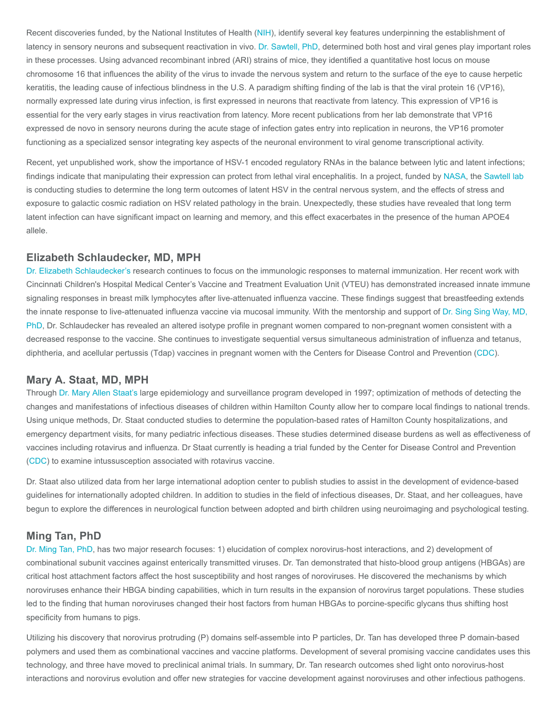Recent discoveries funded, by the National Institutes of Health [\(NIH](https://www.nih.gov/)), identify several key features underpinning the establishment of latency in sensory neurons and subsequent reactivation in vivo. [Dr. Sawtell, PhD,](https://www.cincinnatichildrens.org/bio/s/nancy-sawtell) determined both host and viral genes play important roles in these processes. Using advanced recombinant inbred (ARI) strains of mice, they identified a quantitative host locus on mouse chromosome 16 that influences the ability of the virus to invade the nervous system and return to the surface of the eye to cause herpetic keratitis, the leading cause of infectious blindness in the U.S. A paradigm shifting finding of the lab is that the viral protein 16 (VP16), normally expressed late during virus infection, is first expressed in neurons that reactivate from latency. This expression of VP16 is essential for the very early stages in virus reactivation from latency. More recent publications from her lab demonstrate that VP16 expressed de novo in sensory neurons during the acute stage of infection gates entry into replication in neurons, the VP16 promoter functioning as a specialized sensor integrating key aspects of the neuronal environment to viral genome transcriptional activity.

Recent, yet unpublished work, show the importance of HSV-1 encoded regulatory RNAs in the balance between lytic and latent infections; findings indicate that manipulating their expression can protect from lethal viral encephalitis. In a project, funded by [NASA](https://www.nasa.gov/), the [Sawtell lab](https://www.cincinnatichildrens.org/research/divisions/i/infectious/labs/sawtell) is conducting studies to determine the long term outcomes of latent HSV in the central nervous system, and the effects of stress and exposure to galactic cosmic radiation on HSV related pathology in the brain. Unexpectedly, these studies have revealed that long term latent infection can have significant impact on learning and memory, and this effect exacerbates in the presence of the human APOE4 allele.

#### Elizabeth Schlaudecker, MD, MPH

[Dr. Elizabeth Schlaudecker's](https://www.cincinnatichildrens.org/bio/s/elizabeth-schlaudecker) research continues to focus on the immunologic responses to maternal immunization. Her recent work with Cincinnati Children's Hospital Medical Center's Vaccine and Treatment Evaluation Unit (VTEU) has demonstrated increased innate immune signaling responses in breast milk lymphocytes after live-attenuated influenza vaccine. These findings suggest that breastfeeding extends [the innate response to live-attenuated influenza vaccine via mucosal immunity. With the mentorship and support of Dr. Sing Sing Way, MD,](https://www.cincinnatichildrens.org/bio/w/singsing-way) PhD, Dr. Schlaudecker has revealed an altered isotype profile in pregnant women compared to non-pregnant women consistent with a decreased response to the vaccine. She continues to investigate sequential versus simultaneous administration of influenza and tetanus, diphtheria, and acellular pertussis (Tdap) vaccines in pregnant women with the Centers for Disease Control and Prevention ([CDC\)](https://www.cdc.gov/).

#### Mary A. Staat, MD, MPH

Through [Dr. Mary Allen Staat's](https://www.cincinnatichildrens.org/bio/s/mary-staat) large epidemiology and surveillance program developed in 1997; optimization of methods of detecting the changes and manifestations of infectious diseases of children within Hamilton County allow her to compare local findings to national trends. Using unique methods, Dr. Staat conducted studies to determine the population-based rates of Hamilton County hospitalizations, and emergency department visits, for many pediatric infectious diseases. These studies determined disease burdens as well as effectiveness of vaccines including rotavirus and influenza. Dr Staat currently is heading a trial funded by the Center for Disease Control and Prevention ([CDC\)](https://www.cdc.gov/) to examine intussusception associated with rotavirus vaccine.

Dr. Staat also utilized data from her large international adoption center to publish studies to assist in the development of evidence-based guidelines for internationally adopted children. In addition to studies in the field of infectious diseases, Dr. Staat, and her colleagues, have begun to explore the differences in neurological function between adopted and birth children using neuroimaging and psychological testing.

#### Ming Tan, PhD

[Dr. Ming Tan, PhD](https://www.cincinnatichildrens.org/bio/t/ming-tan), has two major research focuses: 1) elucidation of complex norovirus-host interactions, and 2) development of combinational subunit vaccines against enterically transmitted viruses. Dr. Tan demonstrated that histo-blood group antigens (HBGAs) are critical host attachment factors affect the host susceptibility and host ranges of noroviruses. He discovered the mechanisms by which noroviruses enhance their HBGA binding capabilities, which in turn results in the expansion of norovirus target populations. These studies led to the finding that human noroviruses changed their host factors from human HBGAs to porcine-specific glycans thus shifting host specificity from humans to pigs.

Utilizing his discovery that norovirus protruding (P) domains self-assemble into P particles, Dr. Tan has developed three P domain-based polymers and used them as combinational vaccines and vaccine platforms. Development of several promising vaccine candidates uses this technology, and three have moved to preclinical animal trials. In summary, Dr. Tan research outcomes shed light onto norovirus-host interactions and norovirus evolution and offer new strategies for vaccine development against noroviruses and other infectious pathogens.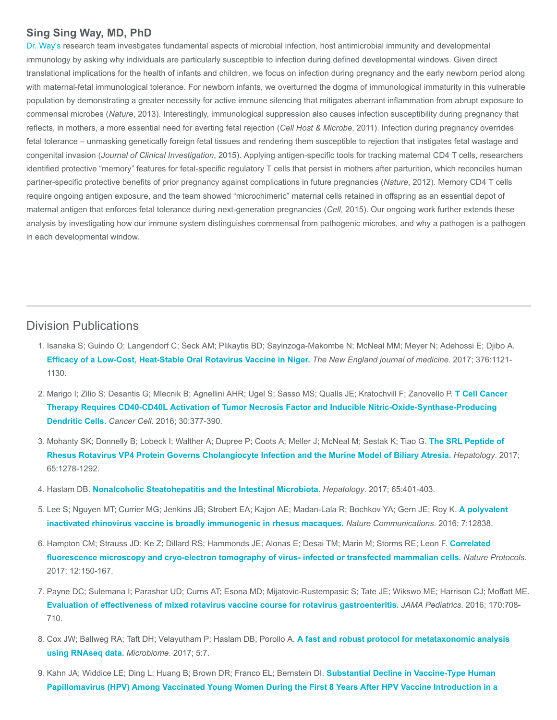#### Sing Sing Way, MD, PhD

[Dr. Way's](https://www.cincinnatichildrens.org/bio/w/singsing-way) research team investigates fundamental aspects of microbial infection, host antimicrobial immunity and developmental immunology by asking why individuals are particularly susceptible to infection during defined developmental windows. Given direct translational implications for the health of infants and children, we focus on infection during pregnancy and the early newborn period along with maternal-fetal immunological tolerance. For newborn infants, we overturned the dogma of immunological immaturity in this vulnerable population by demonstrating a greater necessity for active immune silencing that mitigates aberrant inflammation from abrupt exposure to commensal microbes (Nature, 2013). Interestingly, immunological suppression also causes infection susceptibility during pregnancy that reflects, in mothers, a more essential need for averting fetal rejection (Cell Host & Microbe, 2011). Infection during pregnancy overrides fetal tolerance – unmasking genetically foreign fetal tissues and rendering them susceptible to rejection that instigates fetal wastage and congenital invasion (Journal of Clinical Investigation, 2015). Applying antigen-specific tools for tracking maternal CD4 T cells, researchers identified protective "memory" features for fetal-specific regulatory T cells that persist in mothers after parturition, which reconciles human partner-specific protective benefits of prior pregnancy against complications in future pregnancies (Nature, 2012). Memory CD4 T cells require ongoing antigen exposure, and the team showed "microchimeric" maternal cells retained in offspring as an essential depot of maternal antigen that enforces fetal tolerance during next-generation pregnancies (Cell, 2015). Our ongoing work further extends these analysis by investigating how our immune system distinguishes commensal from pathogenic microbes, and why a pathogen is a pathogen in each developmental window.

### Division Publications

- 1. Isanaka S; Guindo O; Langendorf C; Seck AM; Plikaytis BD; Sayinzoga-Makombe N; McNeal MM; Meyer N; Adehossi E; Djibo A. [Efficacy of a Low-Cost, Heat-Stable Oral Rotavirus Vaccine in Niger.](https://www.ncbi.nlm.nih.gov/pubmed/28328346) The New England journal of medicine. 2017; 376:1121-1130.
- 2. [Marigo I; Zilio S; Desantis G; Mlecnik B; Agnellini AHR; Ugel S; Sasso MS; Qualls JE; Kratochvill F; Zanovello P.](https://www.ncbi.nlm.nih.gov/pubmed/27622331) T Cell Cancer Therapy Requires CD40-CD40L Activation of Tumor Necrosis Factor and Inducible Nitric-Oxide-Synthase-Producing Dendritic Cells. Cancer Cell. 2016; 30:377-390.
- 3. [Mohanty SK; Donnelly B; Lobeck I; Walther A; Dupree P; Coots A; Meller J; McNeal M; Sestak K; Tiao G.](https://www.ncbi.nlm.nih.gov/pubmed/27859498) The SRL Peptide of Rhesus Rotavirus VP4 Protein Governs Cholangiocyte Infection and the Murine Model of Biliary Atresia. Hepatology. 2017; 65:1278-1292.
- 4. Haslam DB. [Nonalcoholic Steatohepatitis and the Intestinal Microbiota.](https://www.ncbi.nlm.nih.gov/pubmed/27718255) Hepatology. 2017; 65:401-403.
- 5. [Lee S; Nguyen MT; Currier MG; Jenkins JB; Strobert EA; Kajon AE; Madan-Lala R; Bochkov YA; Gern JE; Roy K.](https://www.ncbi.nlm.nih.gov/pubmed/27653379) A polyvalent inactivated rhinovirus vaccine is broadly immunogenic in rhesus macaques. Nature Communications. 2016; 7:12838.
- 6. [Hampton CM; Strauss JD; Ke Z; Dillard RS; Hammonds JE; Alonas E; Desai TM; Marin M; Storms RE; Leon F.](https://www.ncbi.nlm.nih.gov/pubmed/27977021) Correlated fluorescence microscopy and cryo-electron tomography of virus- infected or transfected mammalian cells. Nature Protocols. 2017; 12:150-167.
- 7. Payne DC; Sulemana I; Parashar UD; Curns AT; Esona MD; Mijatovic-Rustempasic S; Tate JE; Wikswo ME; Harrison CJ; Moffatt ME. [Evaluation of effectiveness of mixed rotavirus vaccine course for rotavirus gastroenteritis.](https://www.ncbi.nlm.nih.gov/pubmed/27244539) JAMA Pediatrics. 2016; 170:708- 710.
- 8. [Cox JW; Ballweg RA; Taft DH; Velayutham P; Haslam DB; Porollo A.](https://www.ncbi.nlm.nih.gov/pubmed/28103917) A fast and robust protocol for metataxonomic analysis using RNAseq data. Microbiome. 2017; 5:7.
- 9. Kahn JA; Widdice LE; Ding L; Huang B; Brown DR; Franco EL; Bernstein DI. Substantial Decline in Vaccine-Type Human [Papillomavirus \(HPV\) Among Vaccinated Young Women During the First 8 Years After HPV Vaccine Introduction in a](https://www.ncbi.nlm.nih.gov/pubmed/27655996)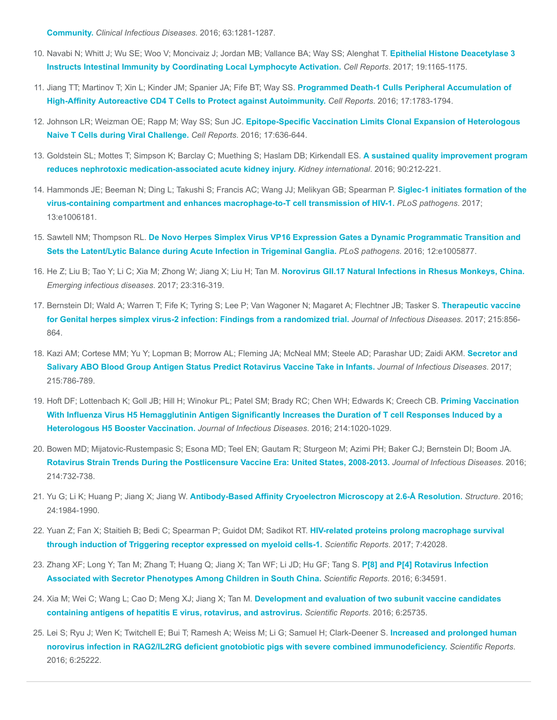Community. [Clinical Infectious Diseases](https://www.ncbi.nlm.nih.gov/pubmed/27655996). 2016; 63:1281-1287.

- 10. [Navabi N; Whitt J; Wu SE; Woo V; Moncivaiz J; Jordan MB; Vallance BA; Way SS; Alenghat T.](https://www.ncbi.nlm.nih.gov/pubmed/28494866) Epithelial Histone Deacetylase 3 Instructs Intestinal Immunity by Coordinating Local Lymphocyte Activation. Cell Reports. 2017; 19:1165-1175.
- 11. [Jiang TT; Martinov T; Xin L; Kinder JM; Spanier JA; Fife BT; Way SS.](https://www.ncbi.nlm.nih.gov/pubmed/27829150) Programmed Death-1 Culls Peripheral Accumulation of High-Affinity Autoreactive CD4 T Cells to Protect against Autoimmunity. Cell Reports. 2016; 17:1783-1794.
- 12. Johnson LR; Weizman OE; Rapp M; Way SS; Sun JC. [Epitope-Specific Vaccination Limits Clonal Expansion of Heterologous](https://www.ncbi.nlm.nih.gov/pubmed/27732841) Naive T Cells during Viral Challenge. Cell Reports. 2016; 17:636-644.
- 13. [Goldstein SL; Mottes T; Simpson K; Barclay C; Muething S; Haslam DB; Kirkendall ES.](https://www.ncbi.nlm.nih.gov/pubmed/27217196) A sustained quality improvement program reduces nephrotoxic medication-associated acute kidney injury. Kidney international. 2016; 90:212-221.
- 14. [Hammonds JE; Beeman N; Ding L; Takushi S; Francis AC; Wang JJ; Melikyan GB; Spearman P.](https://www.ncbi.nlm.nih.gov/pubmed/28129379) Siglec-1 initiates formation of the virus-containing compartment and enhances macrophage-to-T cell transmission of HIV-1. PLoS pathogens. 2017; 13:e1006181.
- 15. Sawtell NM; Thompson RL. [De Novo Herpes Simplex Virus VP16 Expression Gates a Dynamic Programmatic Transition and](https://www.ncbi.nlm.nih.gov/pubmed/27607440) Sets the Latent/Lytic Balance during Acute Infection in Trigeminal Ganglia. PLoS pathogens. 2016; 12:e1005877.
- 16. He Z; Liu B; Tao Y; Li C; Xia M; Zhong W; Jiang X; Liu H; Tan M. [Norovirus GII.17 Natural Infections in Rhesus Monkeys, China.](https://www.ncbi.nlm.nih.gov/pubmed/28102802) Emerging infectious diseases. 2017; 23:316-319.
- 17. [Bernstein DI; Wald A; Warren T; Fife K; Tyring S; Lee P; Van Wagoner N; Magaret A; Flechtner JB; Tasker S.](https://www.ncbi.nlm.nih.gov/pubmed/28329211) Therapeutic vaccine for Genital herpes simplex virus-2 infection: Findings from a randomized trial. Journal of Infectious Diseases. 2017; 215:856-864.
- 18. [Kazi AM; Cortese MM; Yu Y; Lopman B; Morrow AL; Fleming JA; McNeal MM; Steele AD; Parashar UD; Zaidi AKM.](https://www.ncbi.nlm.nih.gov/pubmed/28329092) Secretor and Salivary ABO Blood Group Antigen Status Predict Rotavirus Vaccine Take in Infants. Journal of Infectious Diseases. 2017; 215:786-789.
- 19. [Hoft DF; Lottenbach K; Goll JB; Hill H; Winokur PL; Patel SM; Brady RC; Chen WH; Edwards K; Creech CB.](https://www.ncbi.nlm.nih.gov/pubmed/27443611) Priming Vaccination With Influenza Virus H5 Hemagglutinin Antigen Significantly Increases the Duration of T cell Responses Induced by a Heterologous H5 Booster Vaccination. Journal of Infectious Diseases. 2016; 214:1020-1029.
- 20. Bowen MD; Mijatovic-Rustempasic S; Esona MD; Teel EN; Gautam R; Sturgeon M; Azimi PH; Baker CJ; Bernstein DI; Boom JA. [Rotavirus Strain Trends During the Postlicensure Vaccine Era: United States, 2008-2013.](https://www.ncbi.nlm.nih.gov/pubmed/27302190) Journal of Infectious Diseases. 2016; 214:732-738.
- 21. Yu G; Li K; Huang P; Jiang X; Jiang W. [Antibody-Based Affinity Cryoelectron Microscopy at 2.6-Å Resolution.](https://www.ncbi.nlm.nih.gov/pubmed/27806259) Structure. 2016; 24:1984-1990.
- 22. [Yuan Z; Fan X; Staitieh B; Bedi C; Spearman P; Guidot DM; Sadikot RT.](https://www.ncbi.nlm.nih.gov/pubmed/28181540) HIV-related proteins prolong macrophage survival through induction of Triggering receptor expressed on myeloid cells-1. Scientific Reports. 2017; 7:42028.
- 23. [Zhang XF; Long Y; Tan M; Zhang T; Huang Q; Jiang X; Tan WF; Li JD; Hu GF; Tang S.](https://www.ncbi.nlm.nih.gov/pubmed/27708367) P[8] and P[4] Rotavirus Infection Associated with Secretor Phenotypes Among Children in South China. Scientific Reports. 2016; 6:34591.
- 24. Xia M; Wei C; Wang L; Cao D; Meng XJ; Jiang X; Tan M. Development and evaluation of two subunit vaccine candidates [containing antigens of hepatitis E virus, rotavirus, and astrovirus.](https://www.ncbi.nlm.nih.gov/pubmed/27194006) Scientific Reports. 2016; 6:25735.
- 25. [Lei S; Ryu J; Wen K; Twitchell E; Bui T; Ramesh A; Weiss M; Li G; Samuel H; Clark-Deener S.](https://www.ncbi.nlm.nih.gov/pubmed/27118081) Increased and prolonged human norovirus infection in RAG2/IL2RG deficient gnotobiotic pigs with severe combined immunodeficiency. Scientific Reports. 2016; 6:25222.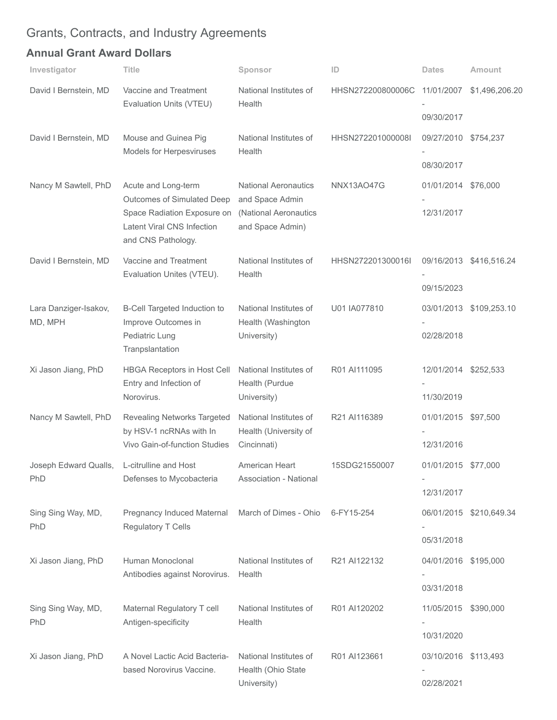## Grants, Contracts, and Industry Agreements

## Annual Grant Award Dollars

| Investigator                     | Title                                                                                                                                | Sponsor                                                                                     | ID                | <b>Dates</b>                       | <b>Amount</b>           |
|----------------------------------|--------------------------------------------------------------------------------------------------------------------------------------|---------------------------------------------------------------------------------------------|-------------------|------------------------------------|-------------------------|
| David I Bernstein, MD            | Vaccine and Treatment<br>Evaluation Units (VTEU)                                                                                     | National Institutes of<br>Health                                                            | HHSN272200800006C | 11/01/2007<br>09/30/2017           | \$1,496,206.20          |
| David I Bernstein, MD            | Mouse and Guinea Pig<br>Models for Herpesviruses                                                                                     | National Institutes of<br>Health                                                            | HHSN272201000008I | 09/27/2010 \$754,237<br>08/30/2017 |                         |
| Nancy M Sawtell, PhD             | Acute and Long-term<br>Outcomes of Simulated Deep<br>Space Radiation Exposure on<br>Latent Viral CNS Infection<br>and CNS Pathology. | <b>National Aeronautics</b><br>and Space Admin<br>(National Aeronautics<br>and Space Admin) | NNX13AO47G        | 01/01/2014 \$76,000<br>12/31/2017  |                         |
| David I Bernstein, MD            | Vaccine and Treatment<br>Evaluation Unites (VTEU).                                                                                   | National Institutes of<br>Health                                                            | HHSN272201300016I | 09/15/2023                         | 09/16/2013 \$416,516.24 |
| Lara Danziger-Isakov,<br>MD, MPH | B-Cell Targeted Induction to<br>Improve Outcomes in<br>Pediatric Lung<br>Tranpslantation                                             | National Institutes of<br>Health (Washington<br>University)                                 | U01 IA077810      | 02/28/2018                         | 03/01/2013 \$109,253.10 |
| Xi Jason Jiang, PhD              | HBGA Receptors in Host Cell<br>Entry and Infection of<br>Norovirus.                                                                  | National Institutes of<br>Health (Purdue<br>University)                                     | R01 AI111095      | 12/01/2014 \$252,533<br>11/30/2019 |                         |
| Nancy M Sawtell, PhD             | Revealing Networks Targeted<br>by HSV-1 ncRNAs with In<br>Vivo Gain-of-function Studies                                              | National Institutes of<br>Health (University of<br>Cincinnati)                              | R21 AI116389      | 01/01/2015 \$97,500<br>12/31/2016  |                         |
| Joseph Edward Qualls,<br>PhD     | L-citrulline and Host<br>Defenses to Mycobacteria                                                                                    | American Heart<br><b>Association - National</b>                                             | 15SDG21550007     | 01/01/2015 \$77,000<br>12/31/2017  |                         |
| Sing Sing Way, MD,<br>PhD        | Pregnancy Induced Maternal<br>Regulatory T Cells                                                                                     | March of Dimes - Ohio                                                                       | 6-FY15-254        | 05/31/2018                         | 06/01/2015 \$210,649.34 |
| Xi Jason Jiang, PhD              | Human Monoclonal<br>Antibodies against Norovirus.                                                                                    | National Institutes of<br>Health                                                            | R21 AI122132      | 04/01/2016 \$195,000<br>03/31/2018 |                         |
| Sing Sing Way, MD,<br>PhD        | Maternal Regulatory T cell<br>Antigen-specificity                                                                                    | National Institutes of<br>Health                                                            | R01 AI120202      | 11/05/2015<br>10/31/2020           | \$390,000               |
| Xi Jason Jiang, PhD              | A Novel Lactic Acid Bacteria-<br>based Norovirus Vaccine.                                                                            | National Institutes of<br>Health (Ohio State<br>University)                                 | R01 AI123661      | 03/10/2016 \$113,493<br>02/28/2021 |                         |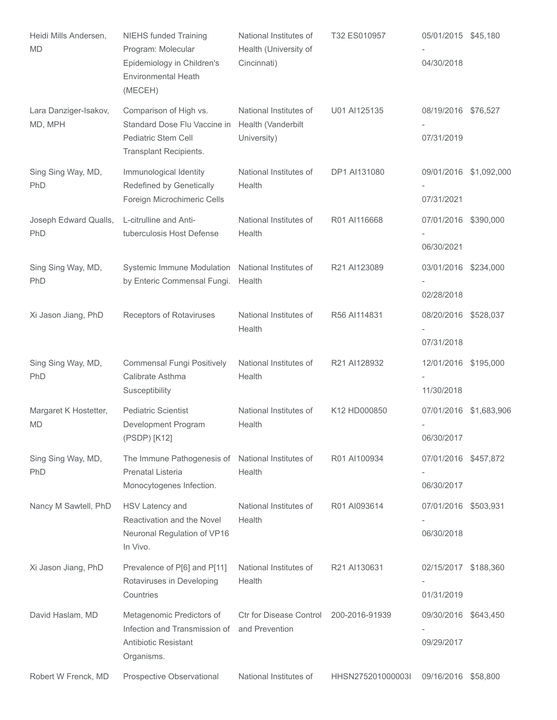| Heidi Mills Andersen,<br><b>MD</b> | <b>NIEHS funded Training</b><br>Program: Molecular<br>Epidemiology in Children's<br><b>Environmental Heath</b><br>(MECEH) | National Institutes of<br>Health (University of<br>Cincinnati) | T32 ES010957      | 05/01/2015 \$45,180<br>04/30/2018  |                        |
|------------------------------------|---------------------------------------------------------------------------------------------------------------------------|----------------------------------------------------------------|-------------------|------------------------------------|------------------------|
| Lara Danziger-Isakov,<br>MD, MPH   | Comparison of High vs.<br>Standard Dose Flu Vaccine in<br>Pediatric Stem Cell<br>Transplant Recipients.                   | National Institutes of<br>Health (Vanderbilt<br>University)    | U01 AI125135      | 08/19/2016 \$76,527<br>07/31/2019  |                        |
| Sing Sing Way, MD,<br>PhD          | Immunological Identity<br>Redefined by Genetically<br>Foreign Microchimeric Cells                                         | National Institutes of<br>Health                               | DP1 AI131080      | 07/31/2021                         | 09/01/2016 \$1,092,000 |
| Joseph Edward Qualls,<br>PhD       | L-citrulline and Anti-<br>tuberculosis Host Defense                                                                       | National Institutes of<br>Health                               | R01 AI116668      | 07/01/2016 \$390,000<br>06/30/2021 |                        |
| Sing Sing Way, MD,<br>PhD          | Systemic Immune Modulation National Institutes of<br>by Enteric Commensal Fungi.                                          | Health                                                         | R21 AI123089      | 03/01/2016 \$234,000<br>02/28/2018 |                        |
| Xi Jason Jiang, PhD                | Receptors of Rotaviruses                                                                                                  | National Institutes of<br>Health                               | R56 AI114831      | 08/20/2016 \$528,037<br>07/31/2018 |                        |
| Sing Sing Way, MD,<br>PhD          | <b>Commensal Fungi Positively</b><br>Calibrate Asthma<br>Susceptibility                                                   | National Institutes of<br>Health                               | R21 AI128932      | 12/01/2016 \$195,000<br>11/30/2018 |                        |
| Margaret K Hostetter,<br><b>MD</b> | <b>Pediatric Scientist</b><br>Development Program<br>(PSDP) [K12]                                                         | National Institutes of<br>Health                               | K12 HD000850      | 06/30/2017                         | 07/01/2016 \$1,683,906 |
| Sing Sing Way, MD,<br>PhD          | The Immune Pathogenesis of National Institutes of<br>Prenatal Listeria<br>Monocytogenes Infection.                        | Health                                                         | R01 AI100934      | 07/01/2016 \$457,872<br>06/30/2017 |                        |
| Nancy M Sawtell, PhD               | HSV Latency and<br>Reactivation and the Novel<br>Neuronal Regulation of VP16<br>In Vivo.                                  | National Institutes of<br>Health                               | R01 AI093614      | 07/01/2016 \$503,931<br>06/30/2018 |                        |
| Xi Jason Jiang, PhD                | Prevalence of P[6] and P[11]<br>Rotaviruses in Developing<br>Countries                                                    | National Institutes of<br>Health                               | R21 AI130631      | 02/15/2017 \$188,360<br>01/31/2019 |                        |
| David Haslam, MD                   | Metagenomic Predictors of<br>Infection and Transmission of<br><b>Antibiotic Resistant</b><br>Organisms.                   | Ctr for Disease Control<br>and Prevention                      | 200-2016-91939    | 09/30/2016 \$643,450<br>09/29/2017 |                        |
| Robert W Frenck, MD                | Prospective Observational                                                                                                 | National Institutes of                                         | HHSN275201000003I | 09/16/2016 \$58,800                |                        |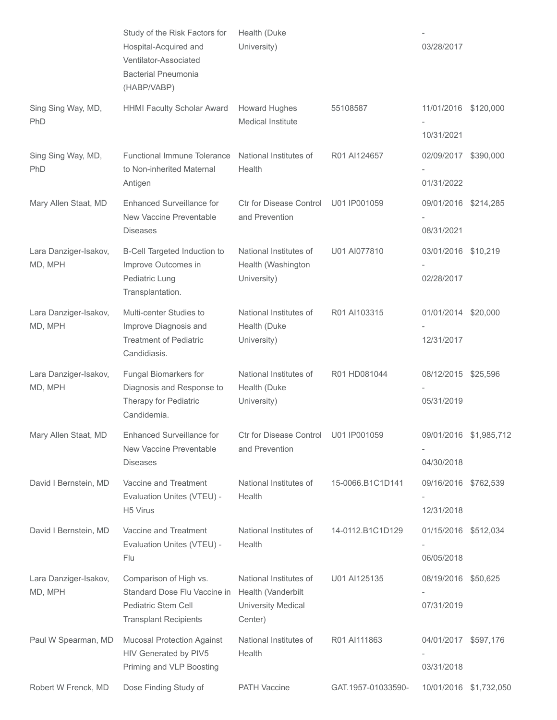|                                  | Study of the Risk Factors for<br>Hospital-Acquired and<br>Ventilator-Associated<br><b>Bacterial Pneumonia</b><br>(HABP/VABP) | Health (Duke<br>University)                                                          |                    | 03/28/2017                         |                        |
|----------------------------------|------------------------------------------------------------------------------------------------------------------------------|--------------------------------------------------------------------------------------|--------------------|------------------------------------|------------------------|
| Sing Sing Way, MD,<br>PhD        | <b>HHMI Faculty Scholar Award</b>                                                                                            | <b>Howard Hughes</b><br>Medical Institute                                            | 55108587           | 11/01/2016 \$120,000<br>10/31/2021 |                        |
| Sing Sing Way, MD,<br>PhD        | <b>Functional Immune Tolerance</b><br>to Non-inherited Maternal<br>Antigen                                                   | National Institutes of<br>Health                                                     | R01 AI124657       | 02/09/2017 \$390,000<br>01/31/2022 |                        |
| Mary Allen Staat, MD             | Enhanced Surveillance for<br>New Vaccine Preventable<br><b>Diseases</b>                                                      | <b>Ctr for Disease Control</b><br>and Prevention                                     | U01 IP001059       | 09/01/2016 \$214,285<br>08/31/2021 |                        |
| Lara Danziger-Isakov,<br>MD, MPH | B-Cell Targeted Induction to<br>Improve Outcomes in<br>Pediatric Lung<br>Transplantation.                                    | National Institutes of<br>Health (Washington<br>University)                          | U01 AI077810       | 03/01/2016 \$10,219<br>02/28/2017  |                        |
| Lara Danziger-Isakov,<br>MD, MPH | Multi-center Studies to<br>Improve Diagnosis and<br><b>Treatment of Pediatric</b><br>Candidiasis.                            | National Institutes of<br>Health (Duke<br>University)                                | R01 AI103315       | 01/01/2014 \$20,000<br>12/31/2017  |                        |
| Lara Danziger-Isakov,<br>MD, MPH | Fungal Biomarkers for<br>Diagnosis and Response to<br>Therapy for Pediatric<br>Candidemia.                                   | National Institutes of<br>Health (Duke<br>University)                                | R01 HD081044       | 08/12/2015 \$25,596<br>05/31/2019  |                        |
| Mary Allen Staat, MD             | Enhanced Surveillance for<br>New Vaccine Preventable<br><b>Diseases</b>                                                      | Ctr for Disease Control U01 IP001059<br>and Prevention                               |                    | 04/30/2018                         | 09/01/2016 \$1,985,712 |
| David I Bernstein, MD            | Vaccine and Treatment<br>Evaluation Unites (VTEU) -<br>H <sub>5</sub> Virus                                                  | National Institutes of<br>Health                                                     | 15-0066.B1C1D141   | 09/16/2016 \$762,539<br>12/31/2018 |                        |
| David I Bernstein, MD            | Vaccine and Treatment<br>Evaluation Unites (VTEU) -<br>Flu                                                                   | National Institutes of<br>Health                                                     | 14-0112.B1C1D129   | 01/15/2016 \$512,034<br>06/05/2018 |                        |
| Lara Danziger-Isakov,<br>MD, MPH | Comparison of High vs.<br>Standard Dose Flu Vaccine in<br>Pediatric Stem Cell<br><b>Transplant Recipients</b>                | National Institutes of<br>Health (Vanderbilt<br><b>University Medical</b><br>Center) | U01 AI125135       | 08/19/2016 \$50,625<br>07/31/2019  |                        |
| Paul W Spearman, MD              | <b>Mucosal Protection Against</b><br>HIV Generated by PIV5<br>Priming and VLP Boosting                                       | National Institutes of<br>Health                                                     | R01 AI111863       | 04/01/2017 \$597,176<br>03/31/2018 |                        |
| Robert W Frenck, MD              | Dose Finding Study of                                                                                                        | <b>PATH Vaccine</b>                                                                  | GAT.1957-01033590- |                                    | 10/01/2016 \$1,732,050 |